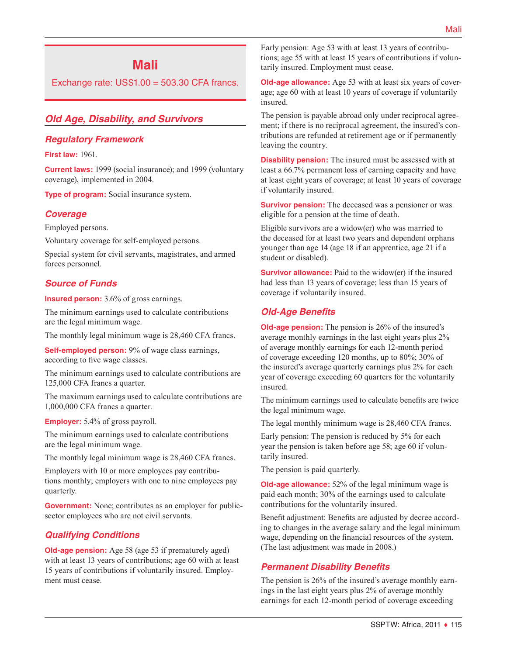# **Mali**

Exchange rate:  $US$1.00 = 503.30$  CFA francs.

# *Old Age, Disability, and Survivors*

#### *Regulatory Framework*

**First law:** 1961.

**Current laws:** 1999 (social insurance); and 1999 (voluntary coverage), implemented in 2004.

**Type of program:** Social insurance system.

#### *Coverage*

Employed persons.

Voluntary coverage for self-employed persons.

Special system for civil servants, magistrates, and armed forces personnel.

#### *Source of Funds*

**Insured person:** 3.6% of gross earnings.

The minimum earnings used to calculate contributions are the legal minimum wage.

The monthly legal minimum wage is 28,460 CFA francs.

**Self-employed person:** 9% of wage class earnings, according to five wage classes.

The minimum earnings used to calculate contributions are 125,000 CFA francs a quarter.

The maximum earnings used to calculate contributions are 1,000,000 CFA francs a quarter.

**Employer:** 5.4% of gross payroll.

The minimum earnings used to calculate contributions are the legal minimum wage.

The monthly legal minimum wage is 28,460 CFA francs.

Employers with 10 or more employees pay contributions monthly; employers with one to nine employees pay quarterly.

**Government:** None; contributes as an employer for publicsector employees who are not civil servants.

# *Qualifying Conditions*

**Old-age pension:** Age 58 (age 53 if prematurely aged) with at least 13 years of contributions; age 60 with at least 15 years of contributions if voluntarily insured. Employment must cease.

Early pension: Age 53 with at least 13 years of contributions; age 55 with at least 15 years of contributions if voluntarily insured. Employment must cease.

**Old-age allowance:** Age 53 with at least six years of coverage; age 60 with at least 10 years of coverage if voluntarily insured.

The pension is payable abroad only under reciprocal agreement; if there is no reciprocal agreement, the insured's contributions are refunded at retirement age or if permanently leaving the country.

**Disability pension:** The insured must be assessed with at least a 66.7% permanent loss of earning capacity and have at least eight years of coverage; at least 10 years of coverage if voluntarily insured.

**Survivor pension:** The deceased was a pensioner or was eligible for a pension at the time of death.

Eligible survivors are a widow(er) who was married to the deceased for at least two years and dependent orphans younger than age 14 (age 18 if an apprentice, age 21 if a student or disabled).

**Survivor allowance:** Paid to the widow(er) if the insured had less than 13 years of coverage; less than 15 years of coverage if voluntarily insured.

### *Old-Age Benefits*

**Old-age pension:** The pension is 26% of the insured's average monthly earnings in the last eight years plus 2% of average monthly earnings for each 12-month period of coverage exceeding 120 months, up to 80%; 30% of the insured's average quarterly earnings plus 2% for each year of coverage exceeding 60 quarters for the voluntarily insured.

The minimum earnings used to calculate benefits are twice the legal minimum wage.

The legal monthly minimum wage is 28,460 CFA francs.

Early pension: The pension is reduced by 5% for each year the pension is taken before age 58; age 60 if voluntarily insured.

The pension is paid quarterly.

**Old-age allowance:** 52% of the legal minimum wage is paid each month; 30% of the earnings used to calculate contributions for the voluntarily insured.

Benefit adjustment: Benefits are adjusted by decree according to changes in the average salary and the legal minimum wage, depending on the financial resources of the system. (The last adjustment was made in 2008.)

#### *Permanent Disability Benefits*

The pension is 26% of the insured's average monthly earnings in the last eight years plus 2% of average monthly earnings for each 12-month period of coverage exceeding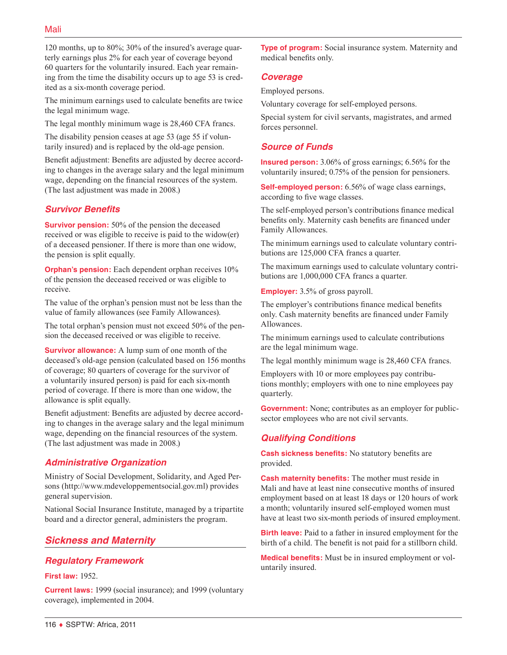120 months, up to 80%; 30% of the insured's average quarterly earnings plus 2% for each year of coverage beyond 60 quarters for the voluntarily insured. Each year remaining from the time the disability occurs up to age 53 is credited as a six-month coverage period.

The minimum earnings used to calculate benefits are twice the legal minimum wage.

The legal monthly minimum wage is 28,460 CFA francs.

The disability pension ceases at age 53 (age 55 if voluntarily insured) and is replaced by the old-age pension.

Benefit adjustment: Benefits are adjusted by decree according to changes in the average salary and the legal minimum wage, depending on the financial resources of the system. (The last adjustment was made in 2008.)

### *Survivor Benefits*

**Survivor pension:** 50% of the pension the deceased received or was eligible to receive is paid to the widow(er) of a deceased pensioner. If there is more than one widow, the pension is split equally.

**Orphan's pension:** Each dependent orphan receives 10% of the pension the deceased received or was eligible to receive.

The value of the orphan's pension must not be less than the value of family allowances (see Family Allowances).

The total orphan's pension must not exceed 50% of the pension the deceased received or was eligible to receive.

**Survivor allowance:** A lump sum of one month of the deceased's old-age pension (calculated based on 156 months of coverage; 80 quarters of coverage for the survivor of a voluntarily insured person) is paid for each six-month period of coverage. If there is more than one widow, the allowance is split equally.

Benefit adjustment: Benefits are adjusted by decree according to changes in the average salary and the legal minimum wage, depending on the financial resources of the system. (The last adjustment was made in 2008.)

# *Administrative Organization*

Ministry of Social Development, Solidarity, and Aged Persons ([http://www.mdeveloppementsocial.gov.ml\)](http://www.mdeveloppementsocial.gov.ml) provides general supervision.

National Social Insurance Institute, managed by a tripartite board and a director general, administers the program.

# *Sickness and Maternity*

# *Regulatory Framework*

#### **First law:** 1952.

**Current laws:** 1999 (social insurance); and 1999 (voluntary coverage), implemented in 2004.

**Type of program:** Social insurance system. Maternity and medical benefits only.

#### *Coverage*

Employed persons.

Voluntary coverage for self-employed persons.

Special system for civil servants, magistrates, and armed forces personnel.

### *Source of Funds*

**Insured person:** 3.06% of gross earnings; 6.56% for the voluntarily insured; 0.75% of the pension for pensioners.

**Self-employed person:** 6.56% of wage class earnings, according to five wage classes.

The self-employed person's contributions finance medical benefits only. Maternity cash benefits are financed under Family Allowances.

The minimum earnings used to calculate voluntary contributions are 125,000 CFA francs a quarter.

The maximum earnings used to calculate voluntary contributions are 1,000,000 CFA francs a quarter.

**Employer:** 3.5% of gross payroll.

The employer's contributions finance medical benefits only. Cash maternity benefits are financed under Family Allowances.

The minimum earnings used to calculate contributions are the legal minimum wage.

The legal monthly minimum wage is 28,460 CFA francs.

Employers with 10 or more employees pay contributions monthly; employers with one to nine employees pay quarterly.

**Government:** None; contributes as an employer for publicsector employees who are not civil servants.

#### *Qualifying Conditions*

**Cash sickness benefits:** No statutory benefits are provided.

**Cash maternity benefits:** The mother must reside in Mali and have at least nine consecutive months of insured employment based on at least 18 days or 120 hours of work a month; voluntarily insured self-employed women must have at least two six-month periods of insured employment.

**Birth leave:** Paid to a father in insured employment for the birth of a child. The benefit is not paid for a stillborn child.

**Medical benefits:** Must be in insured employment or voluntarily insured.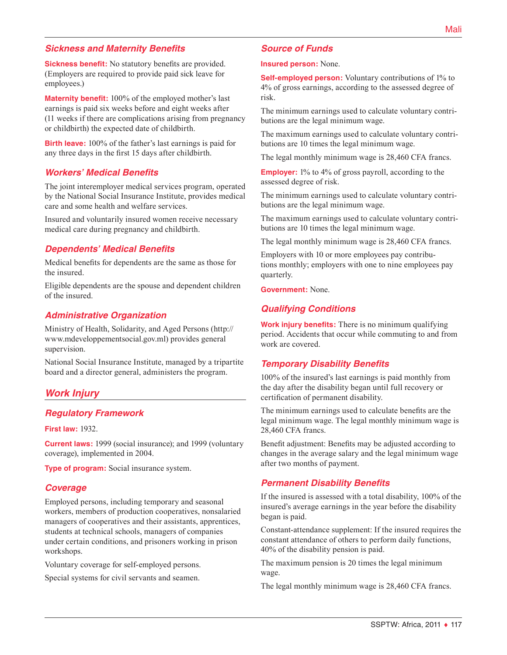### *Sickness and Maternity Benefits*

**Sickness benefit:** No statutory benefits are provided. (Employers are required to provide paid sick leave for employees.)

**Maternity benefit:** 100% of the employed mother's last earnings is paid six weeks before and eight weeks after (11 weeks if there are complications arising from pregnancy or childbirth) the expected date of childbirth.

**Birth leave:** 100% of the father's last earnings is paid for any three days in the first 15 days after childbirth.

#### *Workers' Medical Benefits*

The joint interemployer medical services program, operated by the National Social Insurance Institute, provides medical care and some health and welfare services.

Insured and voluntarily insured women receive necessary medical care during pregnancy and childbirth.

#### *Dependents' Medical Benefits*

Medical benefits for dependents are the same as those for the insured.

Eligible dependents are the spouse and dependent children of the insured.

#### *Administrative Organization*

Ministry of Health, Solidarity, and Aged Persons [\(http://](http://www.mdeveloppementsocial.gov.ml) [www.mdeveloppementsocial.gov.ml](http://www.mdeveloppementsocial.gov.ml)) provides general supervision.

National Social Insurance Institute, managed by a tripartite board and a director general, administers the program.

#### *Work Injury*

#### *Regulatory Framework*

**First law:** 1932.

**Current laws:** 1999 (social insurance); and 1999 (voluntary coverage), implemented in 2004.

**Type of program:** Social insurance system.

#### *Coverage*

Employed persons, including temporary and seasonal workers, members of production cooperatives, nonsalaried managers of cooperatives and their assistants, apprentices, students at technical schools, managers of companies under certain conditions, and prisoners working in prison workshops.

Voluntary coverage for self-employed persons.

Special systems for civil servants and seamen.

#### *Source of Funds*

**Insured person:** None.

**Self-employed person:** Voluntary contributions of 1% to 4% of gross earnings, according to the assessed degree of risk.

The minimum earnings used to calculate voluntary contributions are the legal minimum wage.

The maximum earnings used to calculate voluntary contributions are 10 times the legal minimum wage.

The legal monthly minimum wage is 28,460 CFA francs.

**Employer:** 1% to 4% of gross payroll, according to the assessed degree of risk.

The minimum earnings used to calculate voluntary contributions are the legal minimum wage.

The maximum earnings used to calculate voluntary contributions are 10 times the legal minimum wage.

The legal monthly minimum wage is 28,460 CFA francs.

Employers with 10 or more employees pay contributions monthly; employers with one to nine employees pay quarterly.

**Government:** None.

#### *Qualifying Conditions*

**Work injury benefits:** There is no minimum qualifying period. Accidents that occur while commuting to and from work are covered.

#### *Temporary Disability Benefits*

100% of the insured's last earnings is paid monthly from the day after the disability began until full recovery or certification of permanent disability.

The minimum earnings used to calculate benefits are the legal minimum wage. The legal monthly minimum wage is 28,460 CFA francs.

Benefit adjustment: Benefits may be adjusted according to changes in the average salary and the legal minimum wage after two months of payment.

#### *Permanent Disability Benefits*

If the insured is assessed with a total disability, 100% of the insured's average earnings in the year before the disability began is paid.

Constant-attendance supplement: If the insured requires the constant attendance of others to perform daily functions, 40% of the disability pension is paid.

The maximum pension is 20 times the legal minimum wage.

The legal monthly minimum wage is 28,460 CFA francs.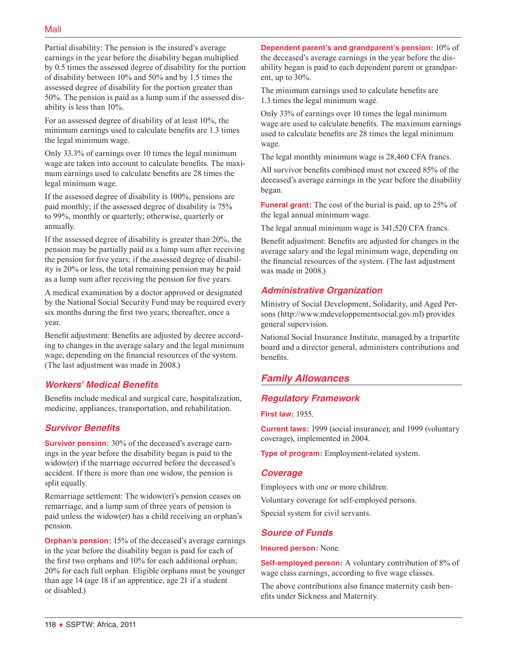Partial disability: The pension is the insured's average earnings in the year before the disability began multiplied by 0.5 times the assessed degree of disability for the portion of disability between 10% and 50% and by 1.5 times the assessed degree of disability for the portion greater than 50%. The pension is paid as a lump sum if the assessed disability is less than 10%.

For an assessed degree of disability of at least 10%, the minimum earnings used to calculate benefits are 1.3 times the legal minimum wage.

Only 33.3% of earnings over 10 times the legal minimum wage are taken into account to calculate benefits. The maximum earnings used to calculate benefits are 28 times the legal minimum wage.

If the assessed degree of disability is 100%, pensions are paid monthly; if the assessed degree of disability is 75% to 99%, monthly or quarterly; otherwise, quarterly or annually.

If the assessed degree of disability is greater than 20%, the pension may be partially paid as a lump sum after receiving the pension for five years; if the assessed degree of disability is 20% or less, the total remaining pension may be paid as a lump sum after receiving the pension for five years.

A medical examination by a doctor approved or designated by the National Social Security Fund may be required every six months during the first two years; thereafter, once a year.

Benefit adjustment: Benefits are adjusted by decree according to changes in the average salary and the legal minimum wage, depending on the financial resources of the system. (The last adjustment was made in 2008.)

# *Workers' Medical Benefits*

Benefits include medical and surgical care, hospitalization, medicine, appliances, transportation, and rehabilitation.

# *Survivor Benefits*

**Survivor pension:** 30% of the deceased's average earnings in the year before the disability began is paid to the widow(er) if the marriage occurred before the deceased's accident. If there is more than one widow, the pension is split equally.

Remarriage settlement: The widow(er)'s pension ceases on remarriage, and a lump sum of three years of pension is paid unless the widow(er) has a child receiving an orphan's pension.

**Orphan's pension:** 15% of the deceased's average earnings in the year before the disability began is paid for each of the first two orphans and 10% for each additional orphan; 20% for each full orphan. Eligible orphans must be younger than age 14 (age 18 if an apprentice, age 21 if a student or disabled.)

**Dependent parent's and grandparent's pension:** 10% of the deceased's average earnings in the year before the disability began is paid to each dependent parent or grandparent, up to 30%.

The minimum earnings used to calculate benefits are 1.3 times the legal minimum wage.

Only 33% of earnings over 10 times the legal minimum wage are used to calculate benefits. The maximum earnings used to calculate benefits are 28 times the legal minimum wage.

The legal monthly minimum wage is 28,460 CFA francs.

All survivor benefits combined must not exceed 85% of the deceased's average earnings in the year before the disability began.

**Funeral grant:** The cost of the burial is paid, up to 25% of the legal annual minimum wage.

The legal annual minimum wage is 341,520 CFA francs.

Benefit adjustment: Benefits are adjusted for changes in the average salary and the legal minimum wage, depending on the financial resources of the system. (The last adjustment was made in 2008.)

# *Administrative Organization*

Ministry of Social Development, Solidarity, and Aged Persons ([http://www.mdeveloppementsocial.gov.ml\)](http://www.mdeveloppementsocial.gov.ml) provides general supervision.

National Social Insurance Institute, managed by a tripartite board and a director general, administers contributions and benefits.

# *Family Allowances*

# *Regulatory Framework*

**First law:** 1955.

**Current laws:** 1999 (social insurance); and 1999 (voluntary coverage), implemented in 2004.

**Type of program:** Employment-related system.

#### *Coverage*

Employees with one or more children.

Voluntary coverage for self-employed persons. Special system for civil servants.

#### *Source of Funds*

#### **Insured person:** None.

**Self-employed person:** A voluntary contribution of 8% of wage class earnings, according to five wage classes.

The above contributions also finance maternity cash benefits under Sickness and Maternity.